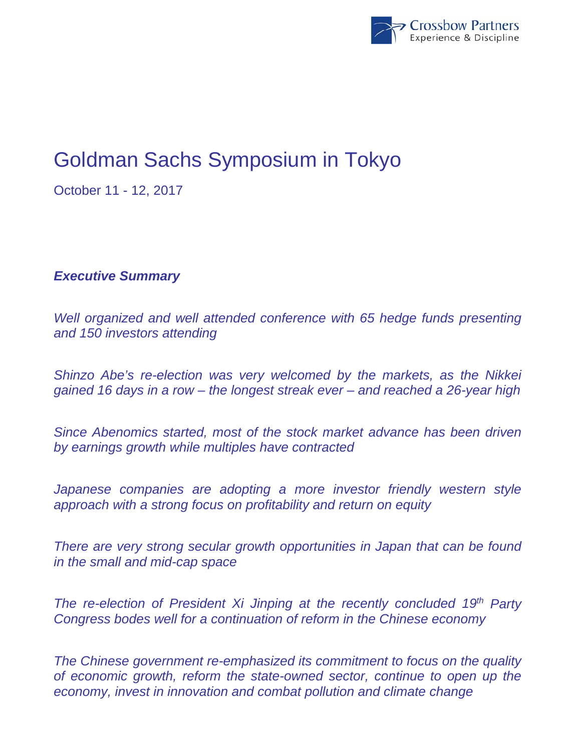

# Goldman Sachs Symposium in Tokyo

October 11 - 12, 2017

## *Executive Summary*

*Well organized and well attended conference with 65 hedge funds presenting and 150 investors attending* 

*Shinzo Abe's re-election was very welcomed by the markets, as the Nikkei gained 16 days in a row – the longest streak ever – and reached a 26-year high* 

*Since Abenomics started, most of the stock market advance has been driven by earnings growth while multiples have contracted* 

Japanese companies are adopting a more investor friendly western style *approach with a strong focus on profitability and return on equity* 

*There are very strong secular growth opportunities in Japan that can be found in the small and mid-cap space* 

*The re-election of President Xi Jinping at the recently concluded 19<sup>th</sup> Party Congress bodes well for a continuation of reform in the Chinese economy* 

*The Chinese government re-emphasized its commitment to focus on the quality of economic growth, reform the state-owned sector, continue to open up the economy, invest in innovation and combat pollution and climate change*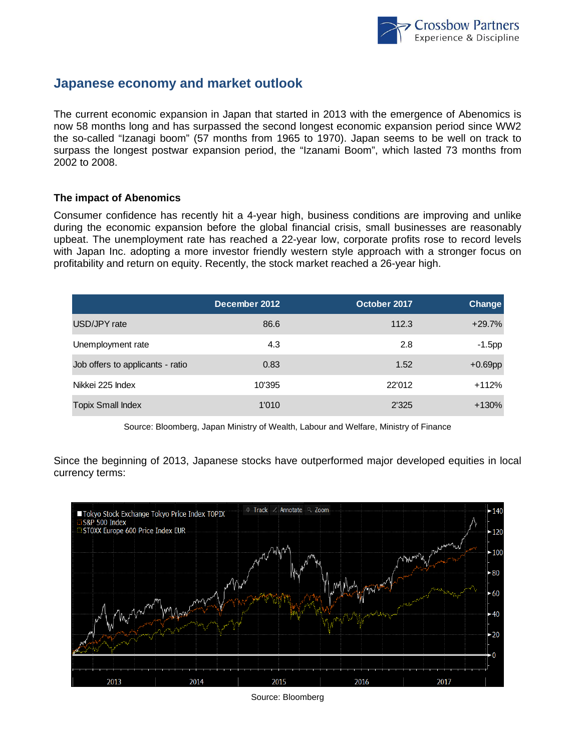

### **Japanese economy and market outlook**

The current economic expansion in Japan that started in 2013 with the emergence of Abenomics is now 58 months long and has surpassed the second longest economic expansion period since WW2 the so-called "Izanagi boom" (57 months from 1965 to 1970). Japan seems to be well on track to surpass the longest postwar expansion period, the "Izanami Boom", which lasted 73 months from 2002 to 2008.

#### **The impact of Abenomics**

Consumer confidence has recently hit a 4-year high, business conditions are improving and unlike during the economic expansion before the global financial crisis, small businesses are reasonably upbeat. The unemployment rate has reached a 22-year low, corporate profits rose to record levels with Japan Inc. adopting a more investor friendly western style approach with a stronger focus on profitability and return on equity. Recently, the stock market reached a 26-year high.

|                                  | December 2012 | October 2017 | Change     |
|----------------------------------|---------------|--------------|------------|
| USD/JPY rate                     | 86.6          | 112.3        | $+29.7%$   |
| Unemployment rate                | 4.3           | 2.8          | $-1.5$ pp  |
| Job offers to applicants - ratio | 0.83          | 1.52         | $+0.69$ pp |
| Nikkei 225 Index                 | 10'395        | 22'012       | $+112%$    |
| <b>Topix Small Index</b>         | 1'010         | 2'325        | $+130%$    |

Source: Bloomberg, Japan Ministry of Wealth, Labour and Welfare, Ministry of Finance

Since the beginning of 2013, Japanese stocks have outperformed major developed equities in local currency terms:



Source: Bloomberg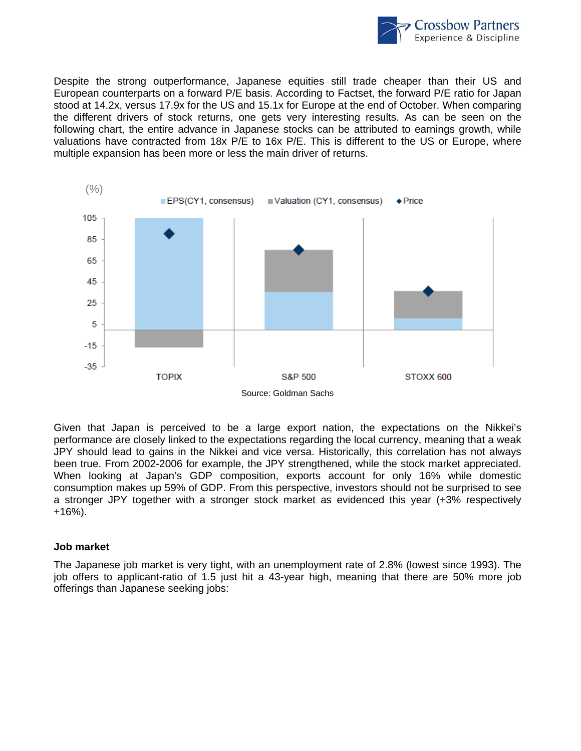

Despite the strong outperformance, Japanese equities still trade cheaper than their US and European counterparts on a forward P/E basis. According to Factset, the forward P/E ratio for Japan stood at 14.2x, versus 17.9x for the US and 15.1x for Europe at the end of October. When comparing the different drivers of stock returns, one gets very interesting results. As can be seen on the following chart, the entire advance in Japanese stocks can be attributed to earnings growth, while valuations have contracted from 18x P/E to 16x P/E. This is different to the US or Europe, where multiple expansion has been more or less the main driver of returns.



Given that Japan is perceived to be a large export nation, the expectations on the Nikkei's performance are closely linked to the expectations regarding the local currency, meaning that a weak JPY should lead to gains in the Nikkei and vice versa. Historically, this correlation has not always been true. From 2002-2006 for example, the JPY strengthened, while the stock market appreciated. When looking at Japan's GDP composition, exports account for only 16% while domestic consumption makes up 59% of GDP. From this perspective, investors should not be surprised to see a stronger JPY together with a stronger stock market as evidenced this year (+3% respectively +16%).

#### **Job market**

The Japanese job market is very tight, with an unemployment rate of 2.8% (lowest since 1993). The job offers to applicant-ratio of 1.5 just hit a 43-year high, meaning that there are 50% more job offerings than Japanese seeking jobs: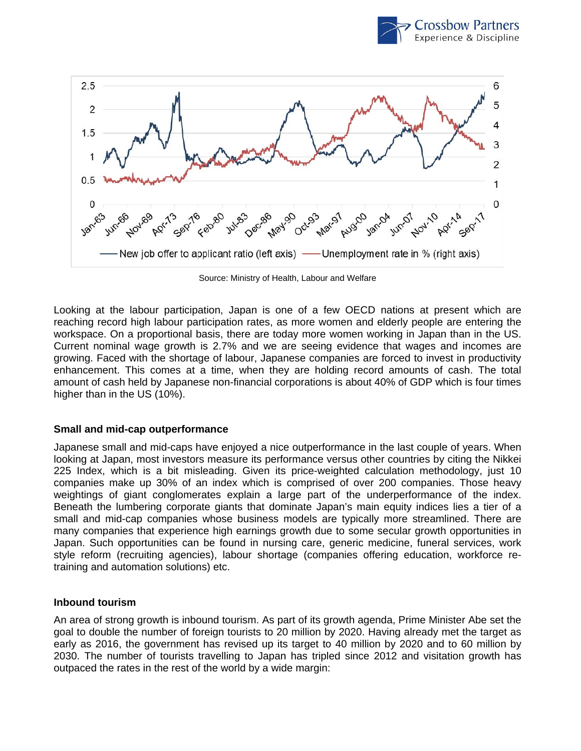



Source: Ministry of Health, Labour and Welfare

Looking at the labour participation, Japan is one of a few OECD nations at present which are reaching record high labour participation rates, as more women and elderly people are entering the workspace. On a proportional basis, there are today more women working in Japan than in the US. Current nominal wage growth is 2.7% and we are seeing evidence that wages and incomes are growing. Faced with the shortage of labour, Japanese companies are forced to invest in productivity enhancement. This comes at a time, when they are holding record amounts of cash. The total amount of cash held by Japanese non-financial corporations is about 40% of GDP which is four times higher than in the US (10%).

#### **Small and mid-cap outperformance**

Japanese small and mid-caps have enjoyed a nice outperformance in the last couple of years. When looking at Japan, most investors measure its performance versus other countries by citing the Nikkei 225 Index, which is a bit misleading. Given its price-weighted calculation methodology, just 10 companies make up 30% of an index which is comprised of over 200 companies. Those heavy weightings of giant conglomerates explain a large part of the underperformance of the index. Beneath the lumbering corporate giants that dominate Japan's main equity indices lies a tier of a small and mid-cap companies whose business models are typically more streamlined. There are many companies that experience high earnings growth due to some secular growth opportunities in Japan. Such opportunities can be found in nursing care, generic medicine, funeral services, work style reform (recruiting agencies), labour shortage (companies offering education, workforce retraining and automation solutions) etc.

#### **Inbound tourism**

An area of strong growth is inbound tourism. As part of its growth agenda, Prime Minister Abe set the goal to double the number of foreign tourists to 20 million by 2020. Having already met the target as early as 2016, the government has revised up its target to 40 million by 2020 and to 60 million by 2030. The number of tourists travelling to Japan has tripled since 2012 and visitation growth has outpaced the rates in the rest of the world by a wide margin: